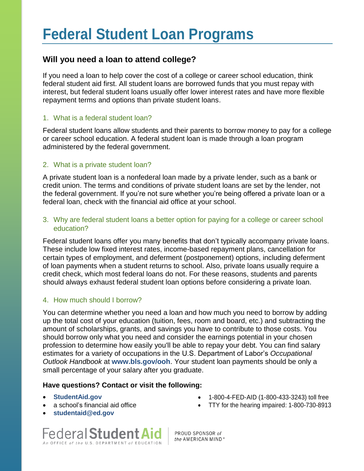## **Will you need a loan to attend college?**

If you need a loan to help cover the cost of a college or career school education, think federal student aid first. All student loans are borrowed funds that you must repay with interest, but federal student loans usually offer lower interest rates and have more flexible repayment terms and options than private student loans.

#### 1. What is a federal student loan?

Federal student loans allow students and their parents to borrow money to pay for a college or career school education. A federal student loan is made through a loan program administered by the federal government.

#### 2. What is a private student loan?

A private student loan is a nonfederal loan made by a private lender, such as a bank or credit union. The terms and conditions of private student loans are set by the lender, not the federal government. If you're not sure whether you're being offered a private loan or a federal loan, check with the financial aid office at your school.

#### 3. Why are federal student loans a better option for paying for a college or career school education?

Federal student loans offer you many benefits that don't typically accompany private loans. These include low fixed interest rates, income-based repayment plans, cancellation for certain types of employment, and deferment (postponement) options, including deferment of loan payments when a student returns to school. Also, private loans usually require a credit check, which most federal loans do not. For these reasons, students and parents should always exhaust federal student loan options before considering a private loan.

### 4. How much should I borrow?

You can determine whether you need a loan and how much you need to borrow by adding up the total cost of your education (tuition, fees, room and board, etc.) and subtracting the amount of scholarships, grants, and savings you have to contribute to those costs. You should borrow only what you need and consider the earnings potential in your chosen profession to determine how easily you'll be able to repay your debt. You can find salary estimates for a variety of occupations in the U.S. Department of Labor's *Occupational Outlook Handbook* at **[www.bls.gov/ooh](http://www.bls.gov/ooh/)**. Your student loan payments should be only a small percentage of your salary after you graduate.

#### **Have questions? Contact or visit the following:**

- **[StudentAid.gov](https://studentaid.ed.gov/sa/)**
- a school's financial aid office
- **[studentaid@ed.gov](mailto:studentaid@ed.gov)**



1-800-4-FED-AID (1-800-433-3243) toll free

**Federal Student Aid** An OFFICE of the U.S. DEPARTMENT of EDUCATION

PROUD SPONSOR of the AMERICAN MIND®